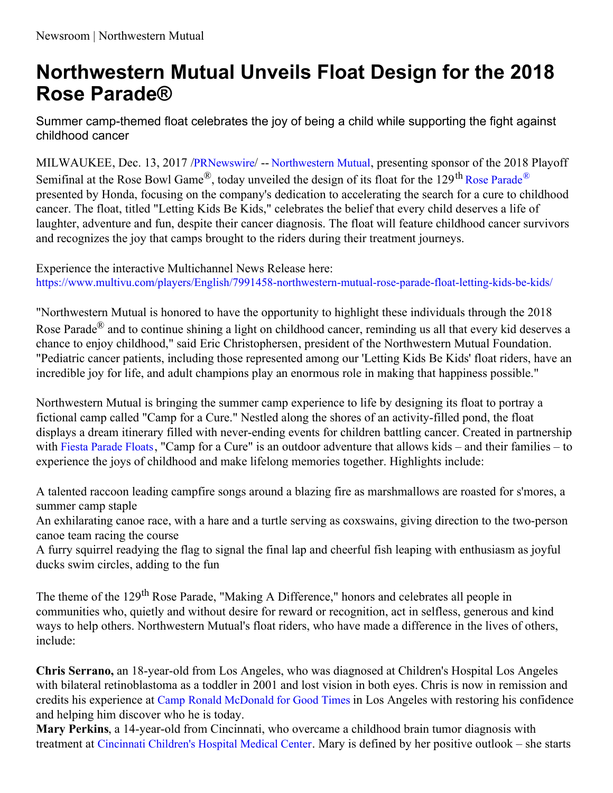## **Northwestern Mutual Unveils Float Design for the 2018 Rose Parade®**

Summer camp-themed float celebrates the joy of being a child while supporting the fight against childhood cancer

MILWAUKEE, Dec. 13, 2017 /[PRNewswire](http://www.prnewswire.com/)/ -- [Northwestern](https://www.northwesternmutual.com/about-us/how-we-help-people/our-community-impact/about-the-northwestern-mutual-foundation) Mutual, presenting sponsor of the 2018 Playoff Semifinal at the Rose Bowl Game<sup>®</sup>, today unveiled the design of its float for the 129<sup>th</sup> Rose [Parade](https://www.tournamentofroses.com/rose-parade)<sup>®</sup> presented by Honda, focusing on the company's dedication to accelerating the search for a cure to childhood cancer. The float, titled "Letting Kids Be Kids," celebrates the belief that every child deserves a life of laughter, adventure and fun, despite their cancer diagnosis. The float will feature childhood cancer survivors and recognizes the joy that camps brought to the riders during their treatment journeys.

Experience the interactive Multichannel News Release here: <https://www.multivu.com/players/English/7991458-northwestern-mutual-rose-parade-float-letting-kids-be-kids/>

"Northwestern Mutual is honored to have the opportunity to highlight these individuals through the 2018 Rose Parade® and to continue shining a light on childhood cancer, reminding us all that every kid deserves a chance to enjoy childhood," said Eric Christophersen, president of the Northwestern Mutual Foundation. "Pediatric cancer patients, including those represented among our 'Letting Kids Be Kids' float riders, have an incredible joy for life, and adult champions play an enormous role in making that happiness possible."

Northwestern Mutual is bringing the summer camp experience to life by designing its float to portray a fictional camp called "Camp for a Cure." Nestled along the shores of an activity-filled pond, the float displays a dream itinerary filled with never-ending events for children battling cancer. Created in partnership with Fiesta [Parade](http://fiestaparadefloats.com/) Floats, "Camp for a Cure" is an outdoor adventure that allows kids – and their families – to experience the joys of childhood and make lifelong memories together. Highlights include:

A talented raccoon leading campfire songs around a blazing fire as marshmallows are roasted for s'mores, a summer camp staple

An exhilarating canoe race, with a hare and a turtle serving as coxswains, giving direction to the two-person canoe team racing the course

A furry squirrel readying the flag to signal the final lap and cheerful fish leaping with enthusiasm as joyful ducks swim circles, adding to the fun

The theme of the 129<sup>th</sup> Rose Parade, "Making A Difference," honors and celebrates all people in communities who, quietly and without desire for reward or recognition, act in selfless, generous and kind ways to help others. Northwestern Mutual's float riders, who have made a difference in the lives of others, include:

**Chris Serrano,** an 18-year-old from Los Angeles, who was diagnosed at Children's Hospital Los Angeles with bilateral retinoblastoma as a toddler in 2001 and lost vision in both eyes. Chris is now in remission and credits his experience at Camp Ronald [McDonald](https://rmhcsc.org/camp) for Good Times in Los Angeles with restoring his confidence and helping him discover who he is today.

**Mary Perkins**, a 14-year-old from Cincinnati, who overcame a childhood brain tumor diagnosis with treatment at [Cincinnati](https://www.cincinnatichildrens.org/) Children's Hospital Medical Center. Mary is defined by her positive outlook – she starts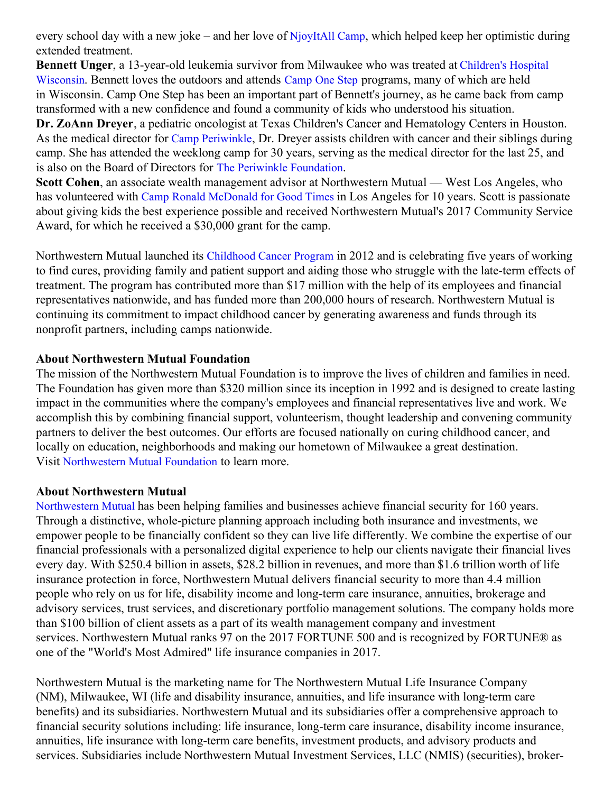every school day with a new joke – and her love of [NjoyItAll](https://www.cincinnatichildrens.org/service/c/cancer-blood/patients/camp) Camp, which helped keep her optimistic during extended treatment.

**Bennett Unger**, a [13-year-old](https://urldefense.proofpoint.com/v2/url?u=https-3A__www.chw.org_&d=DwMFaQ&c=oBIBfyrVf5fVcKOfTTdY_d7WoqYVCfQW6jezwvkj5jg&r=laF022iOfuc6kzwIANw_W5wrIwVXkCERbjMV12FBr0yzpJb8CBXIIPGRHr3IUKTe&m=PETWrUepiCL-4Z7mYLLgcSAgCZUtkXobIa2IEQWdfBY&s=DFI8QjaZV79BocAT9cv45OtS3X8_kya8kFnjCfYzGrE&e=) leukemia survivor from Milwaukee who was treated at Children's Hospital Wisconsin. Bennett loves the outdoors and attends [Camp](https://urldefense.proofpoint.com/v2/url?u=http-3A__camponestep.org_&d=DwMFaQ&c=oBIBfyrVf5fVcKOfTTdY_d7WoqYVCfQW6jezwvkj5jg&r=laF022iOfuc6kzwIANw_W5wrIwVXkCERbjMV12FBr0yzpJb8CBXIIPGRHr3IUKTe&m=PETWrUepiCL-4Z7mYLLgcSAgCZUtkXobIa2IEQWdfBY&s=ukjDgmJgULrb-jkv504XaOEXb-UUX05KuXWoIUv6hCM&e=) One Step programs, many of which are held in Wisconsin. Camp One Step has been an important part of Bennett's journey, as he came back from camp transformed with a new confidence and found a community of kids who understood his situation.

**Dr. ZoAnn Dreyer**, a pediatric oncologist at Texas Children's Cancer and Hematology Centers in Houston. As the medical director for Camp [Periwinkle](http://periwinklefoundation.org/what-we-do/camps/camp-periwinkle/), Dr. Dreyer assists children with cancer and their siblings during camp. She has attended the weeklong camp for 30 years, serving as the medical director for the last 25, and is also on the Board of Directors for The Periwinkle [Foundation](http://periwinklefoundation.org/).

**Scott Cohen**, an associate wealth management advisor at Northwestern Mutual — West Los Angeles, who has volunteered with Camp Ronald [McDonald](https://rmhcsc.org/camp) for Good Times in Los Angeles for 10 years. Scott is passionate about giving kids the best experience possible and received Northwestern Mutual's 2017 Community Service Award, for which he received a \$30,000 grant for the camp.

Northwestern Mutual launched its [Childhood](https://media.nmfn.com/foundation/childhood-cancer.html) Cancer Program in 2012 and is celebrating five years of working to find cures, providing family and patient support and aiding those who struggle with the late-term effects of treatment. The program has contributed more than \$17 million with the help of its employees and financial representatives nationwide, and has funded more than 200,000 hours of research. Northwestern Mutual is continuing its commitment to impact childhood cancer by generating awareness and funds through its nonprofit partners, including camps nationwide.

## **About Northwestern Mutual Foundation**

The mission of the Northwestern Mutual Foundation is to improve the lives of children and families in need. The Foundation has given more than \$320 million since its inception in 1992 and is designed to create lasting impact in the communities where the company's employees and financial representatives live and work. We accomplish this by combining financial support, volunteerism, thought leadership and convening community partners to deliver the best outcomes. Our efforts are focused nationally on curing childhood cancer, and locally on education, neighborhoods and making our hometown of Milwaukee a great destination. Visit [Northwestern](https://foundation.northwesternmutual.com/) Mutual Foundation to learn more.

## **About Northwestern Mutual**

[Northwestern](https://www.northwesternmutual.com/) Mutual has been helping families and businesses achieve financial security for 160 years. Through a distinctive, whole-picture planning approach including both insurance and investments, we empower people to be financially confident so they can live life differently. We combine the expertise of our financial professionals with a personalized digital experience to help our clients navigate their financial lives every day. With \$250.4 billion in assets, \$28.2 billion in revenues, and more than \$1.6 trillion worth of life insurance protection in force, Northwestern Mutual delivers financial security to more than 4.4 million people who rely on us for life, disability income and long-term care insurance, annuities, brokerage and advisory services, trust services, and discretionary portfolio management solutions. The company holds more than \$100 billion of client assets as a part of its wealth management company and investment services. Northwestern Mutual ranks 97 on the 2017 FORTUNE 500 and is recognized by FORTUNE® as one of the "World's Most Admired" life insurance companies in 2017.

Northwestern Mutual is the marketing name for The Northwestern Mutual Life Insurance Company (NM), Milwaukee, WI (life and disability insurance, annuities, and life insurance with long-term care benefits) and its subsidiaries. Northwestern Mutual and its subsidiaries offer a comprehensive approach to financial security solutions including: life insurance, long-term care insurance, disability income insurance, annuities, life insurance with long-term care benefits, investment products, and advisory products and services. Subsidiaries include Northwestern Mutual Investment Services, LLC (NMIS) (securities), broker-